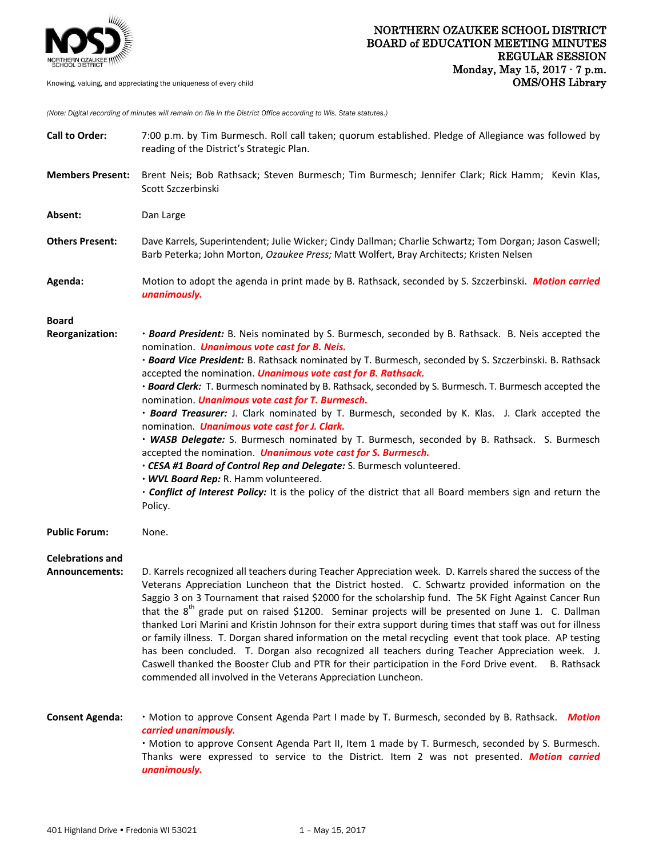

*(Note: Digital recording of minutes will remain on file in the District Office according to Wis. State statutes.)*

| <b>Call to Order:</b>                            | 7:00 p.m. by Tim Burmesch. Roll call taken; quorum established. Pledge of Allegiance was followed by<br>reading of the District's Strategic Plan.                                                                                                                                                                                                                                                                                                                                                                                                                                                                                                                                                                                                                                                                                                                                                                                                                                                                                                                                               |
|--------------------------------------------------|-------------------------------------------------------------------------------------------------------------------------------------------------------------------------------------------------------------------------------------------------------------------------------------------------------------------------------------------------------------------------------------------------------------------------------------------------------------------------------------------------------------------------------------------------------------------------------------------------------------------------------------------------------------------------------------------------------------------------------------------------------------------------------------------------------------------------------------------------------------------------------------------------------------------------------------------------------------------------------------------------------------------------------------------------------------------------------------------------|
| <b>Members Present:</b>                          | Brent Neis; Bob Rathsack; Steven Burmesch; Tim Burmesch; Jennifer Clark; Rick Hamm; Kevin Klas,<br>Scott Szczerbinski                                                                                                                                                                                                                                                                                                                                                                                                                                                                                                                                                                                                                                                                                                                                                                                                                                                                                                                                                                           |
| Absent:                                          | Dan Large                                                                                                                                                                                                                                                                                                                                                                                                                                                                                                                                                                                                                                                                                                                                                                                                                                                                                                                                                                                                                                                                                       |
| <b>Others Present:</b>                           | Dave Karrels, Superintendent; Julie Wicker; Cindy Dallman; Charlie Schwartz; Tom Dorgan; Jason Caswell;<br>Barb Peterka; John Morton, Ozaukee Press; Matt Wolfert, Bray Architects; Kristen Nelsen                                                                                                                                                                                                                                                                                                                                                                                                                                                                                                                                                                                                                                                                                                                                                                                                                                                                                              |
| Agenda:                                          | Motion to adopt the agenda in print made by B. Rathsack, seconded by S. Szczerbinski. Motion carried<br>unanimously.                                                                                                                                                                                                                                                                                                                                                                                                                                                                                                                                                                                                                                                                                                                                                                                                                                                                                                                                                                            |
| <b>Board</b><br>Reorganization:                  | · Board President: B. Neis nominated by S. Burmesch, seconded by B. Rathsack. B. Neis accepted the<br>nomination. <i>Unanimous vote cast for B. Neis.</i><br>· Board Vice President: B. Rathsack nominated by T. Burmesch, seconded by S. Szczerbinski. B. Rathsack<br>accepted the nomination. <i>Unanimous vote cast for B. Rathsack</i> .<br>· Board Clerk: T. Burmesch nominated by B. Rathsack, seconded by S. Burmesch. T. Burmesch accepted the<br>nomination. <i>Unanimous vote cast for T. Burmesch.</i><br>. Board Treasurer: J. Clark nominated by T. Burmesch, seconded by K. Klas. J. Clark accepted the<br>nomination. <i>Unanimous vote cast for J. Clark.</i><br>• WASB Delegate: S. Burmesch nominated by T. Burmesch, seconded by B. Rathsack. S. Burmesch<br>accepted the nomination. <i>Unanimous vote cast for S. Burmesch.</i><br>. CESA #1 Board of Control Rep and Delegate: S. Burmesch volunteered.<br>. WVL Board Rep: R. Hamm volunteered.<br>. Conflict of Interest Policy: It is the policy of the district that all Board members sign and return the<br>Policy. |
| <b>Public Forum:</b>                             | None.                                                                                                                                                                                                                                                                                                                                                                                                                                                                                                                                                                                                                                                                                                                                                                                                                                                                                                                                                                                                                                                                                           |
| <b>Celebrations and</b><br><b>Announcements:</b> | D. Karrels recognized all teachers during Teacher Appreciation week. D. Karrels shared the success of the<br>Veterans Appreciation Luncheon that the District hosted. C. Schwartz provided information on the<br>Saggio 3 on 3 Tournament that raised \$2000 for the scholarship fund. The 5K Fight Against Cancer Run<br>that the $8^{th}$ grade put on raised \$1200. Seminar projects will be presented on June 1. C. Dallman<br>thanked Lori Marini and Kristin Johnson for their extra support during times that staff was out for illness<br>or family illness. T. Dorgan shared information on the metal recycling event that took place. AP testing<br>has been concluded. T. Dorgan also recognized all teachers during Teacher Appreciation week. J.<br>Caswell thanked the Booster Club and PTR for their participation in the Ford Drive event. B. Rathsack<br>commended all involved in the Veterans Appreciation Luncheon.                                                                                                                                                        |
| <b>Consent Agenda:</b>                           | . Motion to approve Consent Agenda Part I made by T. Burmesch, seconded by B. Rathsack. Motion<br>carried unanimously.<br>· Motion to approve Consent Agenda Part II, Item 1 made by T. Burmesch, seconded by S. Burmesch.<br>Thanks were expressed to service to the District. Item 2 was not presented. Motion carried<br>unanimously.                                                                                                                                                                                                                                                                                                                                                                                                                                                                                                                                                                                                                                                                                                                                                        |